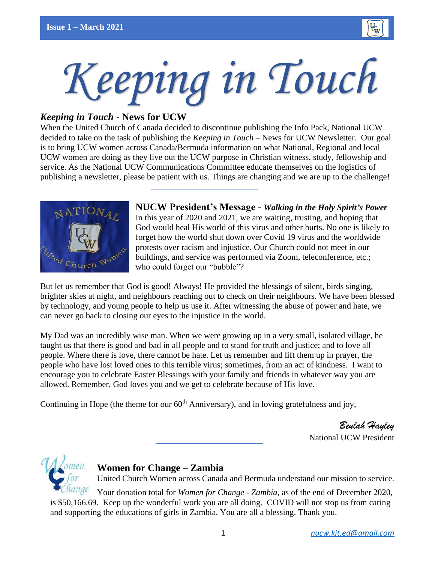

# *Keeping in Touch*

# *Keeping in Touch* **- News for UCW**

When the United Church of Canada decided to discontinue publishing the Info Pack, National UCW decided to take on the task of publishing the *Keeping in Touch* – News for UCW Newsletter. Our goal is to bring UCW women across Canada/Bermuda information on what National, Regional and local UCW women are doing as they live out the UCW purpose in Christian witness, study, fellowship and service. As the National UCW Communications Committee educate themselves on the logistics of publishing a newsletter, please be patient with us. Things are changing and we are up to the challenge!



**NUCW President's Message -** *Walking in the Holy Spirit's Power* In this year of 2020 and 2021, we are waiting, trusting, and hoping that God would heal His world of this virus and other hurts. No one is likely to forget how the world shut down over Covid 19 virus and the worldwide protests over racism and injustice. Our Church could not meet in our buildings, and service was performed via Zoom, teleconference, etc.; who could forget our "bubble"?

But let us remember that God is good! Always! He provided the blessings of silent, birds singing, brighter skies at night, and neighbours reaching out to check on their neighbours. We have been blessed by technology, and young people to help us use it. After witnessing the abuse of power and hate, we can never go back to closing our eyes to the injustice in the world.

My Dad was an incredibly wise man. When we were growing up in a very small, isolated village, he taught us that there is good and bad in all people and to stand for truth and justice; and to love all people. Where there is love, there cannot be hate. Let us remember and lift them up in prayer, the people who have lost loved ones to this terrible virus; sometimes, from an act of kindness. I want to encourage you to celebrate Easter Blessings with your family and friends in whatever way you are allowed. Remember, God loves you and we get to celebrate because of His love.

Continuing in Hope (the theme for our  $60<sup>th</sup>$  Anniversary), and in loving gratefulness and joy,

*Beulah Hayley* National UCW President



# **Women for Change – Zambia**

United Church Women across Canada and Bermuda understand our mission to service.

Your donation total for *Women for Change - Zambia*, as of the end of December 2020, is \$50,166.69. Keep up the wonderful work you are all doing. COVID will not stop us from caring and supporting the educations of girls in Zambia. You are all a blessing. Thank you.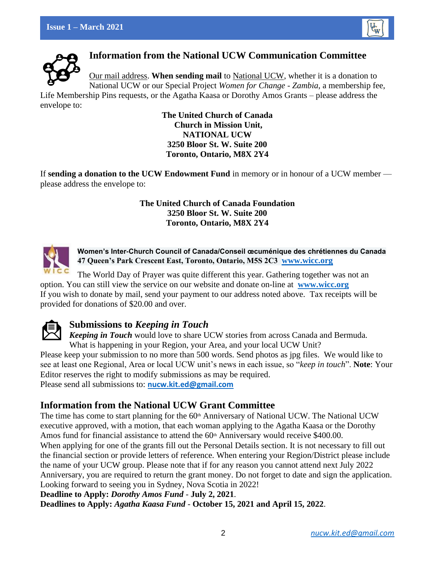



**Information from the National UCW Communication Committee**

Our mail address. **When sending mail** to National UCW, whether it is a donation to National UCW or our Special Project *Women for Change - Zambia*, a membership fee,

Life Membership Pins requests, or the Agatha Kaasa or Dorothy Amos Grants – please address the envelope to:

**The United Church of Canada Church in Mission Unit, NATIONAL UCW 3250 Bloor St. W. Suite 200 Toronto, Ontario, M8X 2Y4**

If **sending a donation to the UCW Endowment Fund** in memory or in honour of a UCW member please address the envelope to:

### **The United Church of Canada Foundation 3250 Bloor St. W. Suite 200 Toronto, Ontario, M8X 2Y4**



**Women's Inter-Church Council of Canada/Conseil œcuménique des chrétiennes du Canada 47 Queen's Park Crescent East, Toronto, Ontario, M5S 2C3 [www.wicc.org](http://www.wicc.org/)**

The World Day of Prayer was quite different this year. Gathering together was not an option. You can still view the service on our website and donate on-line at **[www.wicc.org](http://www.wicc.org/)** If you wish to donate by mail, send your payment to our address noted above. Tax receipts will be provided for donations of \$20.00 and over.



# **Submissions to** *Keeping in Touch*

*Keeping in Touch* would love to share UCW stories from across Canada and Bermuda. What is happening in your Region, your Area, and your local UCW Unit?

Please keep your submission to no more than 500 words. Send photos as jpg files. We would like to see at least one Regional, Area or local UCW unit's news in each issue, so "*keep in touch*". **Note**: Your Editor reserves the right to modify submissions as may be required.

Please send all submissions to: **[nucw.kit.ed@gmail.com](mailto:nucw.kit.ed@gmail.com)**

# **Information from the National UCW Grant Committee**

The time has come to start planning for the  $60<sup>th</sup>$  Anniversary of National UCW. The National UCW executive approved, with a motion, that each woman applying to the Agatha Kaasa or the Dorothy Amos fund for financial assistance to attend the  $60<sup>th</sup>$  Anniversary would receive \$400.00. When applying for one of the grants fill out the Personal Details section. It is not necessary to fill out the financial section or provide letters of reference. When entering your Region/District please include the name of your UCW group. Please note that if for any reason you cannot attend next July 2022 Anniversary, you are required to return the grant money. Do not forget to date and sign the application. Looking forward to seeing you in Sydney, Nova Scotia in 2022!

**Deadline to Apply:** *Dorothy Amos Fund* - **July 2, 2021**.

**Deadlines to Apply:** *Agatha Kaasa Fund* - **October 15, 2021 and April 15, 2022**.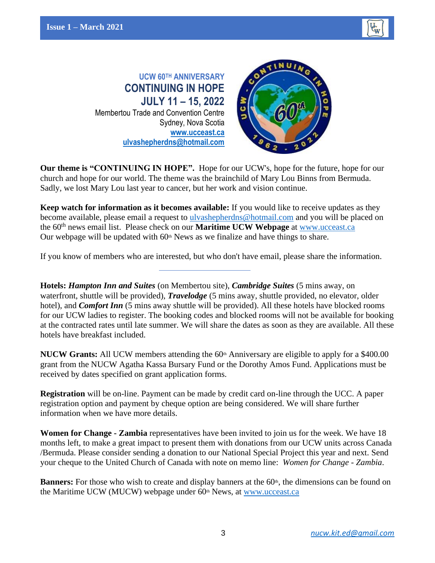

**UCW 60TH ANNIVERSARY CONTINUING IN HOPE JULY 11 – 15, 2022** Membertou Trade and Convention Centre Sydney, Nova Scotia **[www.ucceast.ca](http://www.ucceast.ca/) [ulvashepherdns@hotmail.com](mailto:ulvashepherdns@hotmail.com)**



**Our theme is "CONTINUING IN HOPE".** Hope for our UCW's, hope for the future, hope for our church and hope for our world. The theme was the brainchild of Mary Lou Binns from Bermuda. Sadly, we lost Mary Lou last year to cancer, but her work and vision continue.

**Keep watch for information as it becomes available:** If you would like to receive updates as they become available, please email a request to [ulvashepherdns@hotmail.com](mailto:ulvashepherdns@hotmail.com) and you will be placed on the 60<sup>th</sup> news email list. Please check on our **Maritime UCW Webpage** at [www.ucceast.ca](http://www.ucceast.ca/) Our webpage will be updated with  $60<sup>th</sup>$  News as we finalize and have things to share.

If you know of members who are interested, but who don't have email, please share the information.

**Hotels:** *Hampton Inn and Suites* (on Membertou site), *Cambridge Suites* (5 mins away, on waterfront, shuttle will be provided), *Travelodge* (5 mins away, shuttle provided, no elevator, older hotel), and *Comfort Inn* (5 mins away shuttle will be provided). All these hotels have blocked rooms for our UCW ladies to register. The booking codes and blocked rooms will not be available for booking at the contracted rates until late summer. We will share the dates as soon as they are available. All these hotels have breakfast included.

**NUCW Grants:** All UCW members attending the 60<sup>th</sup> Anniversary are eligible to apply for a \$400.00 grant from the NUCW Agatha Kassa Bursary Fund or the Dorothy Amos Fund. Applications must be received by dates specified on grant application forms.

**Registration** will be on-line. Payment can be made by credit card on-line through the UCC. A paper registration option and payment by cheque option are being considered. We will share further information when we have more details.

**Women for Change - Zambia** representatives have been invited to join us for the week. We have 18 months left, to make a great impact to present them with donations from our UCW units across Canada /Bermuda. Please consider sending a donation to our National Special Project this year and next. Send your cheque to the United Church of Canada with note on memo line: *Women for Change - Zambia*.

Banners: For those who wish to create and display banners at the 60<sup>th</sup>, the dimensions can be found on the Maritime UCW (MUCW) webpage under  $60<sup>th</sup>$  News, at [www.ucceast.ca](http://www.ucceast.ca/)